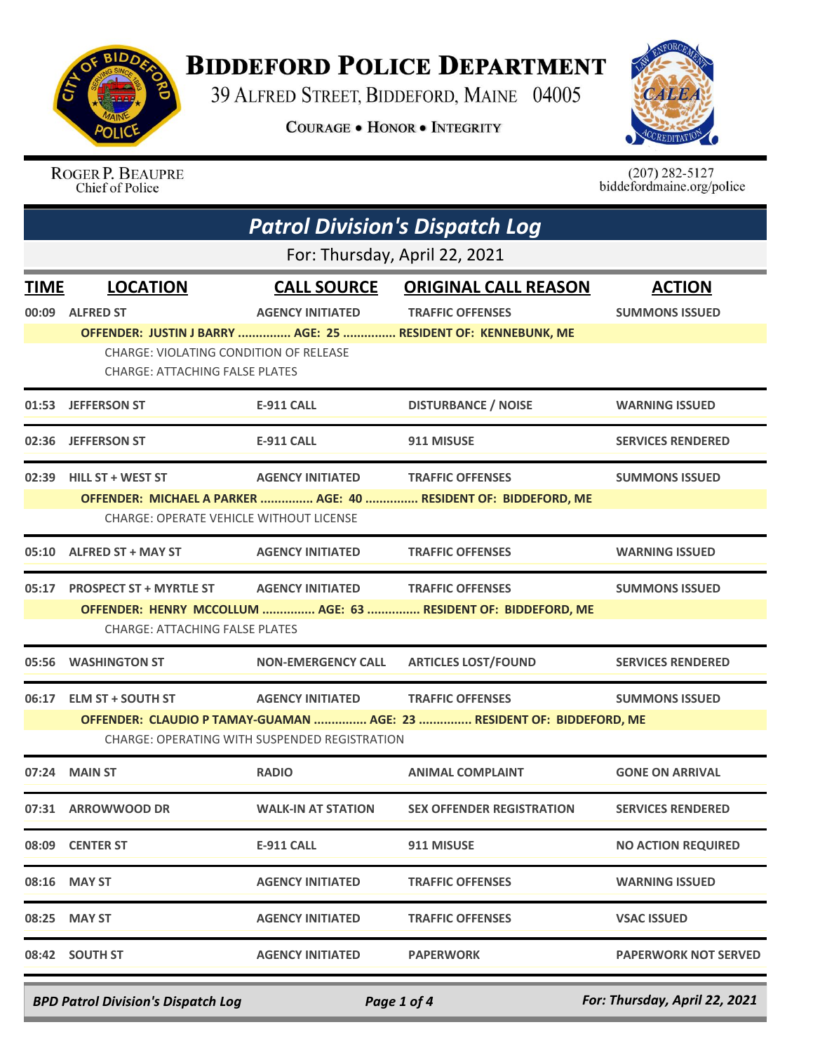

## **BIDDEFORD POLICE DEPARTMENT**

39 ALFRED STREET, BIDDEFORD, MAINE 04005

**COURAGE . HONOR . INTEGRITY** 



ROGER P. BEAUPRE Chief of Police

 $(207)$  282-5127<br>biddefordmaine.org/police

| <b>Patrol Division's Dispatch Log</b> |                                                                                        |                                               |                                                                       |                             |  |  |
|---------------------------------------|----------------------------------------------------------------------------------------|-----------------------------------------------|-----------------------------------------------------------------------|-----------------------------|--|--|
|                                       | For: Thursday, April 22, 2021                                                          |                                               |                                                                       |                             |  |  |
| <b>TIME</b>                           | <b>LOCATION</b>                                                                        | <b>CALL SOURCE</b>                            | <b>ORIGINAL CALL REASON</b>                                           | <b>ACTION</b>               |  |  |
| 00:09                                 | <b>ALFRED ST</b>                                                                       | <b>AGENCY INITIATED</b>                       | <b>TRAFFIC OFFENSES</b>                                               | <b>SUMMONS ISSUED</b>       |  |  |
|                                       |                                                                                        |                                               | OFFENDER: JUSTIN J BARRY  AGE: 25  RESIDENT OF: KENNEBUNK, ME         |                             |  |  |
|                                       | <b>CHARGE: VIOLATING CONDITION OF RELEASE</b><br><b>CHARGE: ATTACHING FALSE PLATES</b> |                                               |                                                                       |                             |  |  |
|                                       | 01:53 JEFFERSON ST                                                                     | E-911 CALL                                    | <b>DISTURBANCE / NOISE</b>                                            | <b>WARNING ISSUED</b>       |  |  |
| 02:36                                 | <b>JEFFERSON ST</b>                                                                    | <b>E-911 CALL</b>                             | 911 MISUSE                                                            | <b>SERVICES RENDERED</b>    |  |  |
| 02:39                                 | HILL ST + WEST ST                                                                      | <b>AGENCY INITIATED</b>                       | <b>TRAFFIC OFFENSES</b>                                               | <b>SUMMONS ISSUED</b>       |  |  |
|                                       |                                                                                        |                                               | OFFENDER: MICHAEL A PARKER  AGE: 40  RESIDENT OF: BIDDEFORD, ME       |                             |  |  |
|                                       | <b>CHARGE: OPERATE VEHICLE WITHOUT LICENSE</b>                                         |                                               |                                                                       |                             |  |  |
| 05:10                                 | <b>ALFRED ST + MAY ST</b>                                                              | <b>AGENCY INITIATED</b>                       | <b>TRAFFIC OFFENSES</b>                                               | <b>WARNING ISSUED</b>       |  |  |
| 05:17                                 | <b>PROSPECT ST + MYRTLE ST</b>                                                         | <b>AGENCY INITIATED</b>                       | <b>TRAFFIC OFFENSES</b>                                               | <b>SUMMONS ISSUED</b>       |  |  |
|                                       |                                                                                        |                                               | OFFENDER: HENRY MCCOLLUM  AGE: 63  RESIDENT OF: BIDDEFORD, ME         |                             |  |  |
|                                       | <b>CHARGE: ATTACHING FALSE PLATES</b>                                                  |                                               |                                                                       |                             |  |  |
| 05:56                                 | <b>WASHINGTON ST</b>                                                                   | <b>NON-EMERGENCY CALL</b>                     | <b>ARTICLES LOST/FOUND</b>                                            | <b>SERVICES RENDERED</b>    |  |  |
| 06:17                                 | <b>ELM ST + SOUTH ST</b>                                                               | <b>AGENCY INITIATED</b>                       | <b>TRAFFIC OFFENSES</b>                                               | <b>SUMMONS ISSUED</b>       |  |  |
|                                       |                                                                                        |                                               | OFFENDER: CLAUDIO P TAMAY-GUAMAN  AGE: 23  RESIDENT OF: BIDDEFORD, ME |                             |  |  |
|                                       |                                                                                        | CHARGE: OPERATING WITH SUSPENDED REGISTRATION |                                                                       |                             |  |  |
| 07:24                                 | <b>MAIN ST</b>                                                                         | <b>RADIO</b>                                  | <b>ANIMAL COMPLAINT</b>                                               | <b>GONE ON ARRIVAL</b>      |  |  |
|                                       | 07:31 ARROWWOOD DR                                                                     | <b>WALK-IN AT STATION</b>                     | <b>SEX OFFENDER REGISTRATION</b>                                      | <b>SERVICES RENDERED</b>    |  |  |
|                                       | 08:09 CENTER ST                                                                        | <b>E-911 CALL</b>                             | 911 MISUSE                                                            | <b>NO ACTION REQUIRED</b>   |  |  |
| 08:16                                 | <b>MAY ST</b>                                                                          | <b>AGENCY INITIATED</b>                       | <b>TRAFFIC OFFENSES</b>                                               | <b>WARNING ISSUED</b>       |  |  |
|                                       | 08:25 MAY ST                                                                           | <b>AGENCY INITIATED</b>                       | <b>TRAFFIC OFFENSES</b>                                               | <b>VSAC ISSUED</b>          |  |  |
|                                       | 08:42 SOUTH ST                                                                         | <b>AGENCY INITIATED</b>                       | <b>PAPERWORK</b>                                                      | <b>PAPERWORK NOT SERVED</b> |  |  |
|                                       |                                                                                        |                                               |                                                                       |                             |  |  |

*BPD Patrol Division's Dispatch Log Page 1 of 4 For: Thursday, April 22, 2021*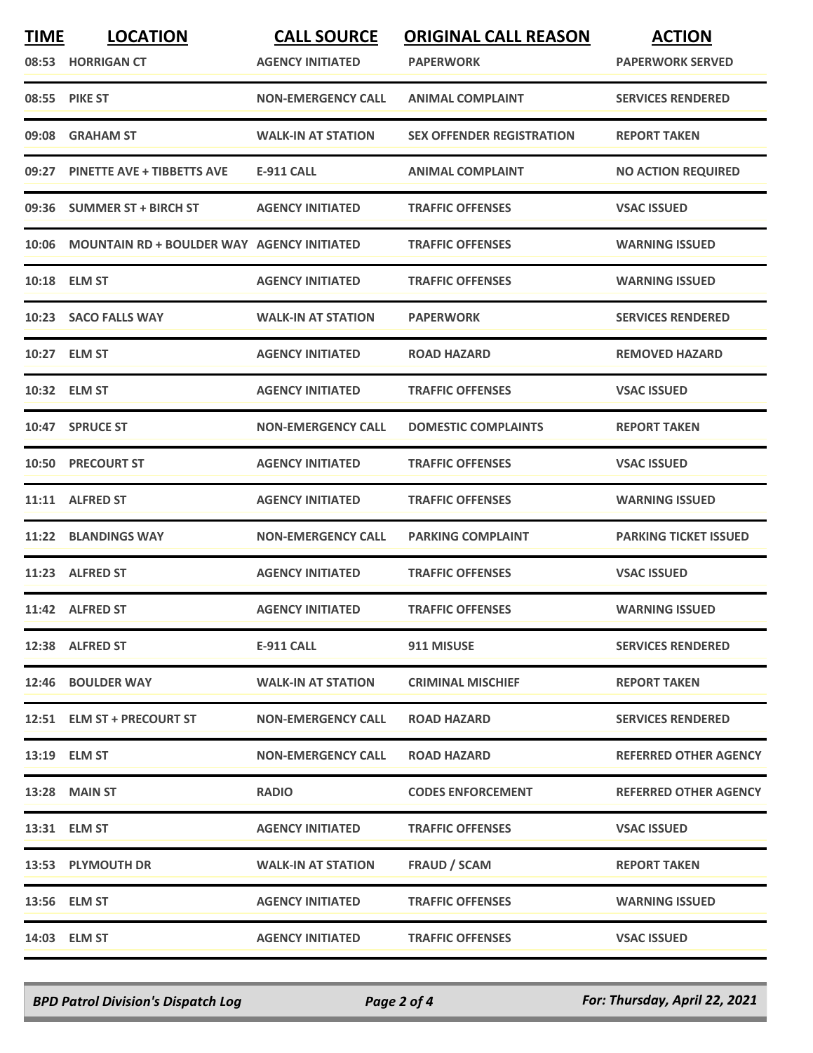| <b>TIME</b> | <b>LOCATION</b><br>08:53 HORRIGAN CT              | <b>CALL SOURCE</b><br><b>AGENCY INITIATED</b> | <b>ORIGINAL CALL REASON</b><br><b>PAPERWORK</b> | <b>ACTION</b><br><b>PAPERWORK SERVED</b> |
|-------------|---------------------------------------------------|-----------------------------------------------|-------------------------------------------------|------------------------------------------|
|             | 08:55 PIKE ST                                     | <b>NON-EMERGENCY CALL</b>                     | <b>ANIMAL COMPLAINT</b>                         | <b>SERVICES RENDERED</b>                 |
| 09:08       | <b>GRAHAM ST</b>                                  | <b>WALK-IN AT STATION</b>                     | <b>SEX OFFENDER REGISTRATION</b>                | <b>REPORT TAKEN</b>                      |
|             | 09:27 PINETTE AVE + TIBBETTS AVE                  | E-911 CALL                                    | <b>ANIMAL COMPLAINT</b>                         | <b>NO ACTION REQUIRED</b>                |
|             | 09:36 SUMMER ST + BIRCH ST                        | <b>AGENCY INITIATED</b>                       | <b>TRAFFIC OFFENSES</b>                         | <b>VSAC ISSUED</b>                       |
| 10:06       | <b>MOUNTAIN RD + BOULDER WAY AGENCY INITIATED</b> |                                               | <b>TRAFFIC OFFENSES</b>                         | <b>WARNING ISSUED</b>                    |
|             | 10:18 ELM ST                                      | <b>AGENCY INITIATED</b>                       | <b>TRAFFIC OFFENSES</b>                         | <b>WARNING ISSUED</b>                    |
|             | 10:23 SACO FALLS WAY                              | <b>WALK-IN AT STATION</b>                     | <b>PAPERWORK</b>                                | <b>SERVICES RENDERED</b>                 |
|             | 10:27 ELM ST                                      | <b>AGENCY INITIATED</b>                       | <b>ROAD HAZARD</b>                              | <b>REMOVED HAZARD</b>                    |
|             | 10:32 ELM ST                                      | <b>AGENCY INITIATED</b>                       | <b>TRAFFIC OFFENSES</b>                         | <b>VSAC ISSUED</b>                       |
|             | 10:47 SPRUCE ST                                   | <b>NON-EMERGENCY CALL</b>                     | <b>DOMESTIC COMPLAINTS</b>                      | <b>REPORT TAKEN</b>                      |
| 10:50       | <b>PRECOURT ST</b>                                | <b>AGENCY INITIATED</b>                       | <b>TRAFFIC OFFENSES</b>                         | <b>VSAC ISSUED</b>                       |
|             | 11:11 ALFRED ST                                   | <b>AGENCY INITIATED</b>                       | <b>TRAFFIC OFFENSES</b>                         | <b>WARNING ISSUED</b>                    |
| 11:22       | <b>BLANDINGS WAY</b>                              | <b>NON-EMERGENCY CALL</b>                     | <b>PARKING COMPLAINT</b>                        | <b>PARKING TICKET ISSUED</b>             |
|             | 11:23 ALFRED ST                                   | <b>AGENCY INITIATED</b>                       | <b>TRAFFIC OFFENSES</b>                         | <b>VSAC ISSUED</b>                       |
|             | 11:42 ALFRED ST                                   | <b>AGENCY INITIATED</b>                       | <b>TRAFFIC OFFENSES</b>                         | <b>WARNING ISSUED</b>                    |
|             | 12:38 ALFRED ST                                   | E-911 CALL                                    | 911 MISUSE                                      | <b>SERVICES RENDERED</b>                 |
|             | 12:46 BOULDER WAY                                 | <b>WALK-IN AT STATION</b>                     | <b>CRIMINAL MISCHIEF</b>                        | <b>REPORT TAKEN</b>                      |
|             | 12:51 ELM ST + PRECOURT ST                        | <b>NON-EMERGENCY CALL</b>                     | <b>ROAD HAZARD</b>                              | <b>SERVICES RENDERED</b>                 |
|             | 13:19 ELM ST                                      | <b>NON-EMERGENCY CALL</b>                     | <b>ROAD HAZARD</b>                              | <b>REFERRED OTHER AGENCY</b>             |
|             | 13:28 MAIN ST                                     | <b>RADIO</b>                                  | <b>CODES ENFORCEMENT</b>                        | <b>REFERRED OTHER AGENCY</b>             |
|             | 13:31 ELM ST                                      | <b>AGENCY INITIATED</b>                       | <b>TRAFFIC OFFENSES</b>                         | <b>VSAC ISSUED</b>                       |
|             | 13:53 PLYMOUTH DR                                 | <b>WALK-IN AT STATION</b>                     | FRAUD / SCAM                                    | <b>REPORT TAKEN</b>                      |
|             | 13:56 ELM ST                                      | <b>AGENCY INITIATED</b>                       | <b>TRAFFIC OFFENSES</b>                         | <b>WARNING ISSUED</b>                    |
|             | 14:03 ELM ST                                      | <b>AGENCY INITIATED</b>                       | <b>TRAFFIC OFFENSES</b>                         | <b>VSAC ISSUED</b>                       |

*BPD Patrol Division's Dispatch Log Page 2 of 4 For: Thursday, April 22, 2021*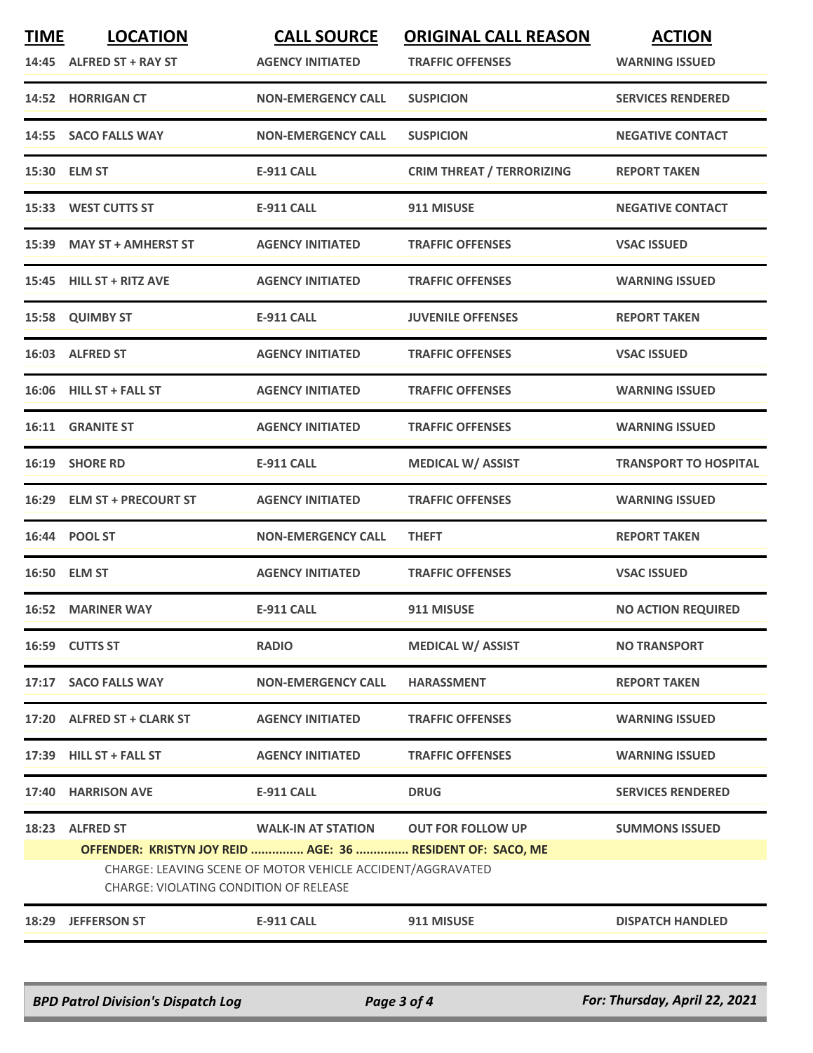| <b>TIME</b> | <b>LOCATION</b><br>14:45 ALFRED ST + RAY ST                                                          | <b>CALL SOURCE</b><br><b>AGENCY INITIATED</b> | <b>ORIGINAL CALL REASON</b><br><b>TRAFFIC OFFENSES</b> | <b>ACTION</b><br><b>WARNING ISSUED</b> |  |
|-------------|------------------------------------------------------------------------------------------------------|-----------------------------------------------|--------------------------------------------------------|----------------------------------------|--|
|             | 14:52 HORRIGAN CT                                                                                    | <b>NON-EMERGENCY CALL</b>                     | <b>SUSPICION</b>                                       | <b>SERVICES RENDERED</b>               |  |
|             | 14:55 SACO FALLS WAY                                                                                 | <b>NON-EMERGENCY CALL</b>                     | <b>SUSPICION</b>                                       | <b>NEGATIVE CONTACT</b>                |  |
|             | 15:30 ELM ST                                                                                         | <b>E-911 CALL</b>                             | <b>CRIM THREAT / TERRORIZING</b>                       | <b>REPORT TAKEN</b>                    |  |
|             | 15:33 WEST CUTTS ST                                                                                  | <b>E-911 CALL</b>                             | 911 MISUSE                                             | <b>NEGATIVE CONTACT</b>                |  |
|             | 15:39 MAY ST + AMHERST ST                                                                            | <b>AGENCY INITIATED</b>                       | <b>TRAFFIC OFFENSES</b>                                | <b>VSAC ISSUED</b>                     |  |
|             | 15:45 HILL ST + RITZ AVE                                                                             | <b>AGENCY INITIATED</b>                       | <b>TRAFFIC OFFENSES</b>                                | <b>WARNING ISSUED</b>                  |  |
|             | 15:58 QUIMBY ST                                                                                      | <b>E-911 CALL</b>                             | <b>JUVENILE OFFENSES</b>                               | <b>REPORT TAKEN</b>                    |  |
|             | 16:03 ALFRED ST                                                                                      | <b>AGENCY INITIATED</b>                       | <b>TRAFFIC OFFENSES</b>                                | <b>VSAC ISSUED</b>                     |  |
|             | 16:06 HILL ST + FALL ST                                                                              | <b>AGENCY INITIATED</b>                       | <b>TRAFFIC OFFENSES</b>                                | <b>WARNING ISSUED</b>                  |  |
|             | 16:11 GRANITE ST                                                                                     | <b>AGENCY INITIATED</b>                       | <b>TRAFFIC OFFENSES</b>                                | <b>WARNING ISSUED</b>                  |  |
|             | 16:19 SHORE RD                                                                                       | <b>E-911 CALL</b>                             | <b>MEDICAL W/ ASSIST</b>                               | <b>TRANSPORT TO HOSPITAL</b>           |  |
|             | 16:29 ELM ST + PRECOURT ST                                                                           | <b>AGENCY INITIATED</b>                       | <b>TRAFFIC OFFENSES</b>                                | <b>WARNING ISSUED</b>                  |  |
|             | 16:44 POOL ST                                                                                        | <b>NON-EMERGENCY CALL</b>                     | <b>THEFT</b>                                           | <b>REPORT TAKEN</b>                    |  |
|             | 16:50 ELM ST                                                                                         | <b>AGENCY INITIATED</b>                       | <b>TRAFFIC OFFENSES</b>                                | <b>VSAC ISSUED</b>                     |  |
|             | <b>16:52 MARINER WAY</b>                                                                             | <b>E-911 CALL</b>                             | 911 MISUSE                                             | <b>NO ACTION REQUIRED</b>              |  |
|             | 16:59 CUTTS ST                                                                                       | <b>RADIO</b>                                  | <b>MEDICAL W/ ASSIST</b>                               | <b>NO TRANSPORT</b>                    |  |
|             | 17:17 SACO FALLS WAY                                                                                 | <b>NON-EMERGENCY CALL</b>                     | <b>HARASSMENT</b>                                      | <b>REPORT TAKEN</b>                    |  |
|             | 17:20 ALFRED ST + CLARK ST                                                                           | <b>AGENCY INITIATED</b>                       | <b>TRAFFIC OFFENSES</b>                                | <b>WARNING ISSUED</b>                  |  |
|             | 17:39 HILL ST + FALL ST                                                                              | <b>AGENCY INITIATED</b>                       | <b>TRAFFIC OFFENSES</b>                                | <b>WARNING ISSUED</b>                  |  |
|             | 17:40 HARRISON AVE                                                                                   | <b>E-911 CALL</b>                             | <b>DRUG</b>                                            | <b>SERVICES RENDERED</b>               |  |
|             | 18:23 ALFRED ST<br>OFFENDER: KRISTYN JOY REID  AGE: 36  RESIDENT OF: SACO, ME                        | <b>WALK-IN AT STATION</b>                     | <b>OUT FOR FOLLOW UP</b>                               | <b>SUMMONS ISSUED</b>                  |  |
|             | CHARGE: LEAVING SCENE OF MOTOR VEHICLE ACCIDENT/AGGRAVATED<br>CHARGE: VIOLATING CONDITION OF RELEASE |                                               |                                                        |                                        |  |
|             | 18:29 JEFFERSON ST                                                                                   | E-911 CALL                                    | 911 MISUSE                                             | <b>DISPATCH HANDLED</b>                |  |